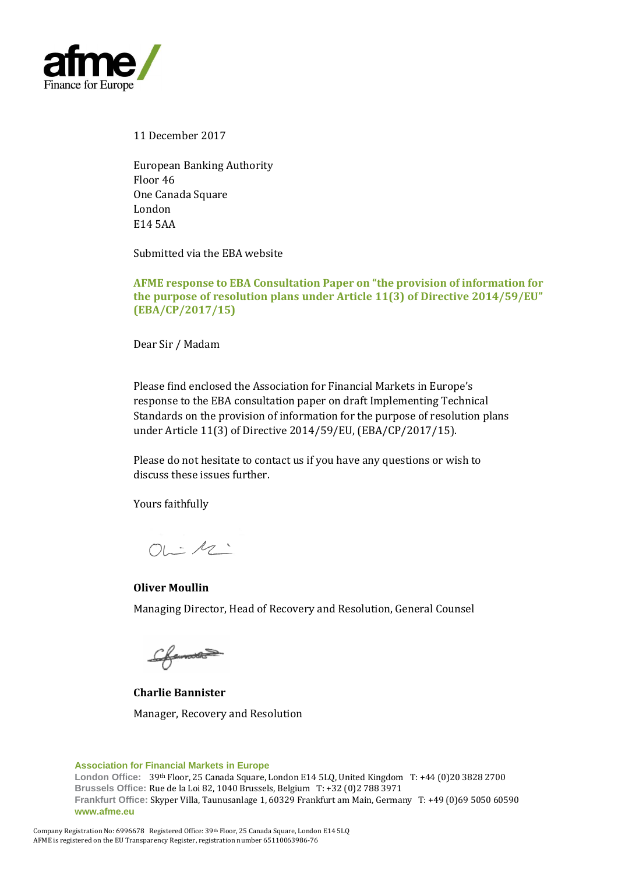

11 December 2017

European Banking Authority Floor 46 One Canada Square London E14 5AA

Submitted via the EBA website

**AFME response to EBA Consultation Paper on "the provision of information for the purpose of resolution plans under Article 11(3) of Directive 2014/59/EU" (EBA/CP/2017/15)**

Dear Sir / Madam

Please find enclosed the Association for Financial Markets in Europe's response to the EBA consultation paper on draft Implementing Technical Standards on the provision of information for the purpose of resolution plans under Article 11(3) of Directive 2014/59/EU, (EBA/CP/2017/15).

Please do not hesitate to contact us if you have any questions or wish to discuss these issues further.

Yours faithfully

 $OL-12$ 

**Oliver Moullin** Managing Director, Head of Recovery and Resolution, General Counsel

Cfeman

**Charlie Bannister**  Manager, Recovery and Resolution

**Association for Financial Markets in Europe**

**London Office:** 39th Floor, 25 Canada Square, London E14 5LQ, United Kingdom T: +44 (0)20 3828 2700 **Brussels Office:** Rue de la Loi 82, 1040 Brussels, Belgium T: +32 (0)2 788 3971 **Frankfurt Office:** Skyper Villa, Taunusanlage 1, 60329 Frankfurt am Main, Germany T: +49 (0)69 5050 60590 **www.afme.eu**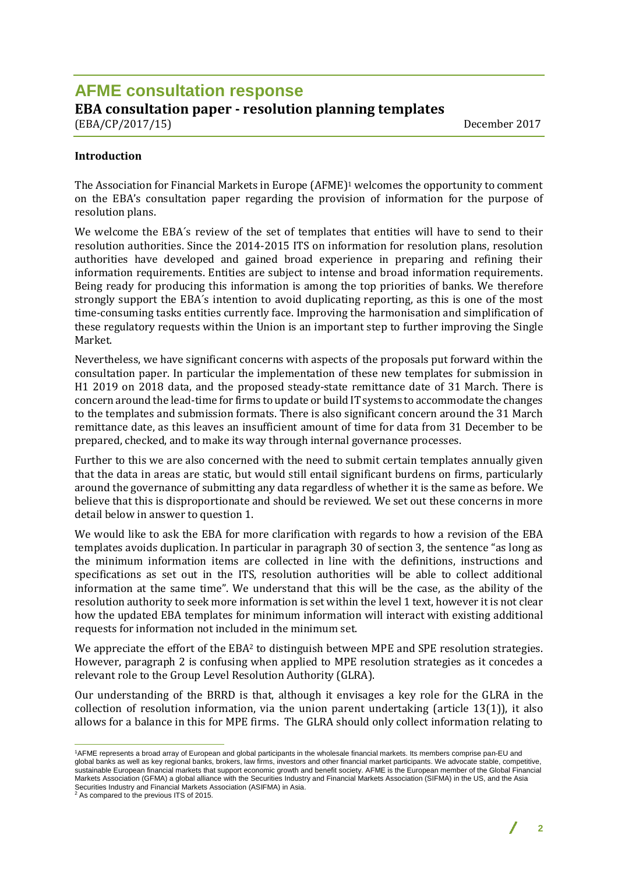# **AFME consultation response EBA consultation paper - resolution planning templates**  (EBA/CP/2017/15)December 2017

#### **Introduction**

The Association for Financial Markets in Europe (AFME) <sup>1</sup> welcomes the opportunity to comment on the EBA's consultation paper regarding the provision of information for the purpose of resolution plans.

We welcome the EBA´s review of the set of templates that entities will have to send to their resolution authorities. Since the 2014-2015 ITS on information for resolution plans, resolution authorities have developed and gained broad experience in preparing and refining their information requirements. Entities are subject to intense and broad information requirements. Being ready for producing this information is among the top priorities of banks. We therefore strongly support the EBA´s intention to avoid duplicating reporting, as this is one of the most time-consuming tasks entities currently face. Improving the harmonisation and simplification of these regulatory requests within the Union is an important step to further improving the Single Market.

Nevertheless, we have significant concerns with aspects of the proposals put forward within the consultation paper. In particular the implementation of these new templates for submission in H1 2019 on 2018 data, and the proposed steady-state remittance date of 31 March. There is concern around the lead-time for firms to update or build IT systems to accommodate the changes to the templates and submission formats. There is also significant concern around the 31 March remittance date, as this leaves an insufficient amount of time for data from 31 December to be prepared, checked, and to make its way through internal governance processes.

Further to this we are also concerned with the need to submit certain templates annually given that the data in areas are static, but would still entail significant burdens on firms, particularly around the governance of submitting any data regardless of whether it is the same as before. We believe that this is disproportionate and should be reviewed. We set out these concerns in more detail below in answer to question 1.

We would like to ask the EBA for more clarification with regards to how a revision of the EBA templates avoids duplication. In particular in paragraph 30 of section 3, the sentence "as long as the minimum information items are collected in line with the definitions, instructions and specifications as set out in the ITS, resolution authorities will be able to collect additional information at the same time". We understand that this will be the case, as the ability of the resolution authority to seek more information is set within the level 1 text, however it is not clear how the updated EBA templates for minimum information will interact with existing additional requests for information not included in the minimum set.

We appreciate the effort of the EBA<sup>2</sup> to distinguish between MPE and SPE resolution strategies. However, paragraph 2 is confusing when applied to MPE resolution strategies as it concedes a relevant role to the Group Level Resolution Authority (GLRA).

Our understanding of the BRRD is that, although it envisages a key role for the GLRA in the collection of resolution information, via the union parent undertaking (article 13(1)), it also allows for a balance in this for MPE firms. The GLRA should only collect information relating to

 $\overline{a}$ 

**2**

<sup>1</sup>AFME represents a broad array of European and global participants in the wholesale financial markets. Its members comprise pan-EU and global banks as well as key regional banks, brokers, law firms, investors and other financial market participants. We advocate stable, competitive, sustainable European financial markets that support economic growth and benefit society. AFME is the European member of the Global Financial Markets Association (GFMA) a global alliance with the Securities Industry and Financial Markets Association (SIFMA) in the US, and the Asia Securities Industry and Financial Markets Association (ASIFMA) in Asia.

<sup>2</sup> As compared to the previous ITS of 2015.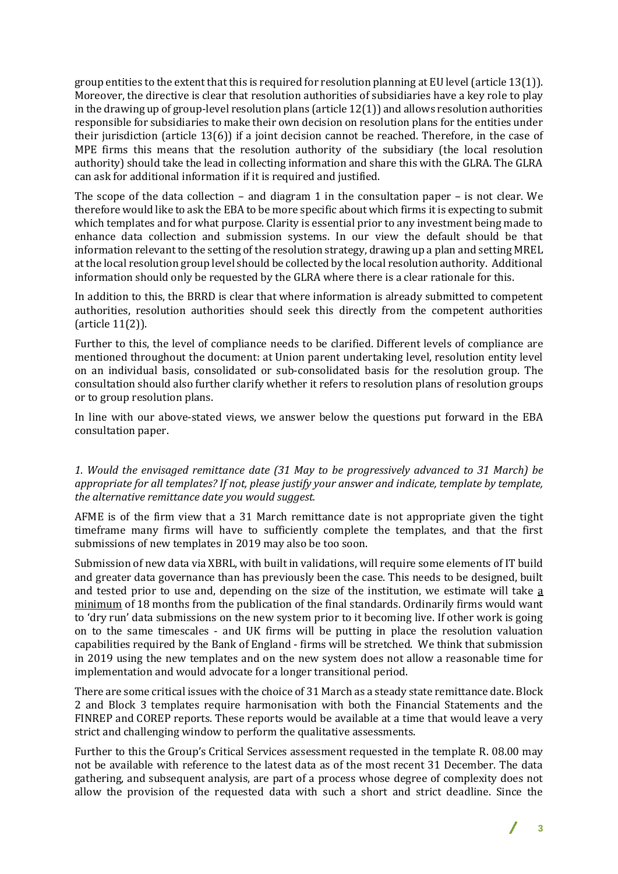group entities to the extent that this is required for resolution planning at EU level (article 13(1)). Moreover, the directive is clear that resolution authorities of subsidiaries have a key role to play in the drawing up of group-level resolution plans (article 12(1)) and allows resolution authorities responsible for subsidiaries to make their own decision on resolution plans for the entities under their jurisdiction (article 13(6)) if a joint decision cannot be reached. Therefore, in the case of MPE firms this means that the resolution authority of the subsidiary (the local resolution authority) should take the lead in collecting information and share this with the GLRA. The GLRA can ask for additional information if it is required and justified.

The scope of the data collection – and diagram 1 in the consultation paper – is not clear. We therefore would like to ask the EBA to be more specific about which firms it is expecting to submit which templates and for what purpose. Clarity is essential prior to any investment being made to enhance data collection and submission systems. In our view the default should be that information relevant to the setting of the resolution strategy, drawing up a plan and setting MREL at the local resolution group level should be collected by the local resolution authority. Additional information should only be requested by the GLRA where there is a clear rationale for this.

In addition to this, the BRRD is clear that where information is already submitted to competent authorities, resolution authorities should seek this directly from the competent authorities (article 11(2)).

Further to this, the level of compliance needs to be clarified. Different levels of compliance are mentioned throughout the document: at Union parent undertaking level, resolution entity level on an individual basis, consolidated or sub-consolidated basis for the resolution group. The consultation should also further clarify whether it refers to resolution plans of resolution groups or to group resolution plans.

In line with our above-stated views, we answer below the questions put forward in the EBA consultation paper.

#### *1. Would the envisaged remittance date (31 May to be progressively advanced to 31 March) be appropriate for all templates? If not, please justify your answer and indicate, template by template, the alternative remittance date you would suggest.*

AFME is of the firm view that a 31 March remittance date is not appropriate given the tight timeframe many firms will have to sufficiently complete the templates, and that the first submissions of new templates in 2019 may also be too soon.

Submission of new data via XBRL, with built in validations, will require some elements of IT build and greater data governance than has previously been the case. This needs to be designed, built and tested prior to use and, depending on the size of the institution, we estimate will take a minimum of 18 months from the publication of the final standards. Ordinarily firms would want to 'dry run' data submissions on the new system prior to it becoming live. If other work is going on to the same timescales - and UK firms will be putting in place the resolution valuation capabilities required by the Bank of England - firms will be stretched. We think that submission in 2019 using the new templates and on the new system does not allow a reasonable time for implementation and would advocate for a longer transitional period.

There are some critical issues with the choice of 31 March as a steady state remittance date. Block 2 and Block 3 templates require harmonisation with both the Financial Statements and the FINREP and COREP reports. These reports would be available at a time that would leave a very strict and challenging window to perform the qualitative assessments.

Further to this the Group's Critical Services assessment requested in the template R. 08.00 may not be available with reference to the latest data as of the most recent 31 December. The data gathering, and subsequent analysis, are part of a process whose degree of complexity does not allow the provision of the requested data with such a short and strict deadline. Since the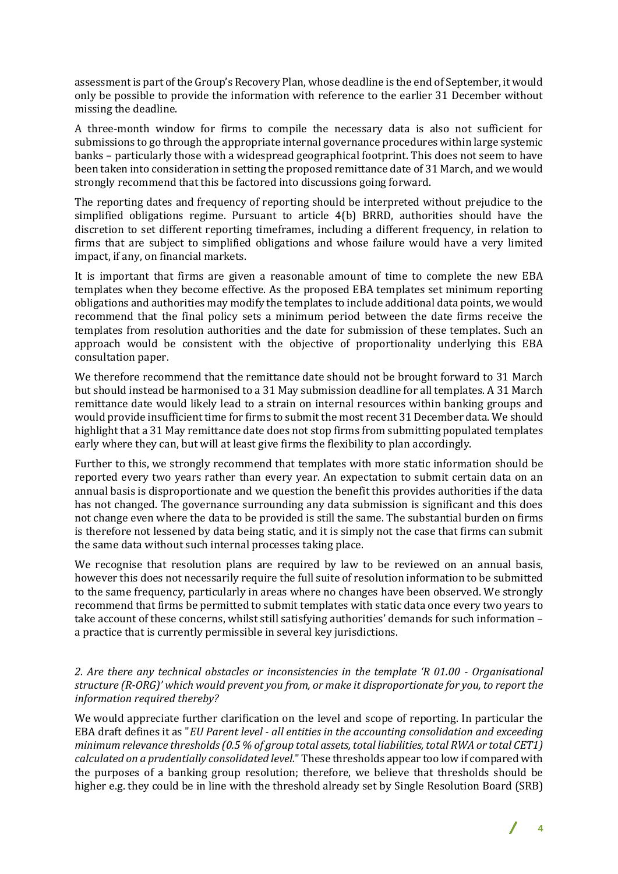assessment is part of the Group's Recovery Plan, whose deadline is the end of September, it would only be possible to provide the information with reference to the earlier 31 December without missing the deadline.

A three-month window for firms to compile the necessary data is also not sufficient for submissions to go through the appropriate internal governance procedures within large systemic banks – particularly those with a widespread geographical footprint. This does not seem to have been taken into consideration in setting the proposed remittance date of 31 March, and we would strongly recommend that this be factored into discussions going forward.

The reporting dates and frequency of reporting should be interpreted without prejudice to the simplified obligations regime. Pursuant to article 4(b) BRRD, authorities should have the discretion to set different reporting timeframes, including a different frequency, in relation to firms that are subject to simplified obligations and whose failure would have a very limited impact, if any, on financial markets.

It is important that firms are given a reasonable amount of time to complete the new EBA templates when they become effective. As the proposed EBA templates set minimum reporting obligations and authorities may modify the templates to include additional data points, we would recommend that the final policy sets a minimum period between the date firms receive the templates from resolution authorities and the date for submission of these templates. Such an approach would be consistent with the objective of proportionality underlying this EBA consultation paper.

We therefore recommend that the remittance date should not be brought forward to 31 March but should instead be harmonised to a 31 May submission deadline for all templates. A 31 March remittance date would likely lead to a strain on internal resources within banking groups and would provide insufficient time for firms to submit the most recent 31 December data. We should highlight that a 31 May remittance date does not stop firms from submitting populated templates early where they can, but will at least give firms the flexibility to plan accordingly.

Further to this, we strongly recommend that templates with more static information should be reported every two years rather than every year. An expectation to submit certain data on an annual basis is disproportionate and we question the benefit this provides authorities if the data has not changed. The governance surrounding any data submission is significant and this does not change even where the data to be provided is still the same. The substantial burden on firms is therefore not lessened by data being static, and it is simply not the case that firms can submit the same data without such internal processes taking place.

We recognise that resolution plans are required by law to be reviewed on an annual basis, however this does not necessarily require the full suite of resolution information to be submitted to the same frequency, particularly in areas where no changes have been observed. We strongly recommend that firms be permitted to submit templates with static data once every two years to take account of these concerns, whilst still satisfying authorities' demands for such information – a practice that is currently permissible in several key jurisdictions.

#### *2. Are there any technical obstacles or inconsistencies in the template 'R 01.00 - Organisational structure (R-ORG)' which would prevent you from, or make it disproportionate for you, to report the information required thereby?*

We would appreciate further clarification on the level and scope of reporting. In particular the EBA draft defines it as "*EU Parent level - all entities in the accounting consolidation and exceeding minimum relevance thresholds (0.5 % of group total assets, total liabilities, total RWA or total CET1) calculated on a prudentially consolidated level.*" These thresholds appear too low if compared with the purposes of a banking group resolution; therefore, we believe that thresholds should be higher e.g. they could be in line with the threshold already set by Single Resolution Board (SRB)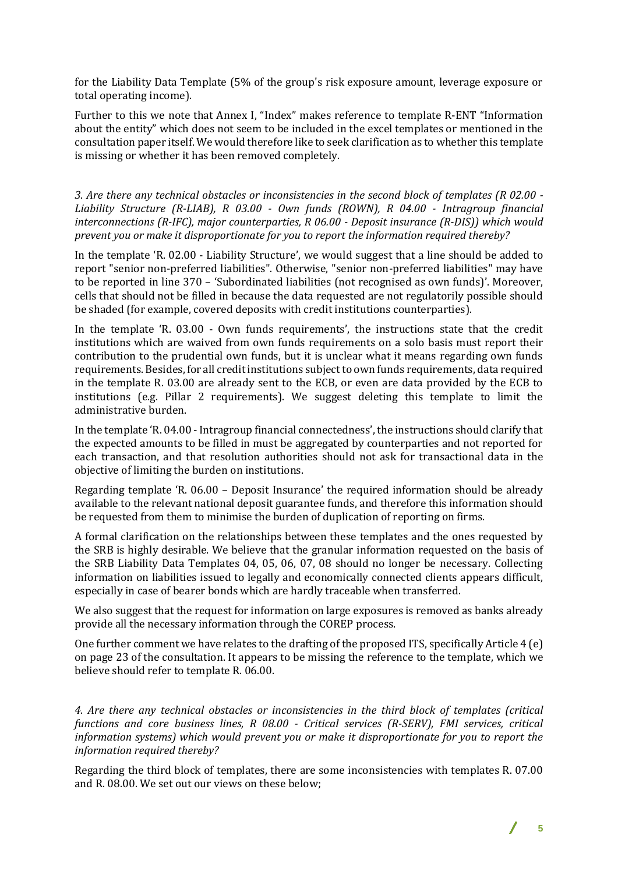for the Liability Data Template (5% of the group's risk exposure amount, leverage exposure or total operating income).

Further to this we note that Annex I, "Index" makes reference to template R-ENT "Information about the entity" which does not seem to be included in the excel templates or mentioned in the consultation paper itself. We would therefore like to seek clarification as to whether this template is missing or whether it has been removed completely.

*3. Are there any technical obstacles or inconsistencies in the second block of templates (R 02.00 - Liability Structure (R-LIAB), R 03.00 - Own funds (ROWN), R 04.00 - Intragroup financial interconnections (R-IFC), major counterparties, R 06.00 - Deposit insurance (R-DIS)) which would prevent you or make it disproportionate for you to report the information required thereby?*

In the template 'R. 02.00 - Liability Structure', we would suggest that a line should be added to report "senior non-preferred liabilities". Otherwise, "senior non-preferred liabilities" may have to be reported in line 370 – 'Subordinated liabilities (not recognised as own funds)'. Moreover, cells that should not be filled in because the data requested are not regulatorily possible should be shaded (for example, covered deposits with credit institutions counterparties).

In the template 'R. 03.00 - Own funds requirements', the instructions state that the credit institutions which are waived from own funds requirements on a solo basis must report their contribution to the prudential own funds, but it is unclear what it means regarding own funds requirements. Besides, for all credit institutions subject to own funds requirements, data required in the template R. 03.00 are already sent to the ECB, or even are data provided by the ECB to institutions (e.g. Pillar 2 requirements). We suggest deleting this template to limit the administrative burden.

In the template 'R. 04.00 - Intragroup financial connectedness', the instructions should clarify that the expected amounts to be filled in must be aggregated by counterparties and not reported for each transaction, and that resolution authorities should not ask for transactional data in the objective of limiting the burden on institutions.

Regarding template 'R. 06.00 – Deposit Insurance' the required information should be already available to the relevant national deposit guarantee funds, and therefore this information should be requested from them to minimise the burden of duplication of reporting on firms.

A formal clarification on the relationships between these templates and the ones requested by the SRB is highly desirable. We believe that the granular information requested on the basis of the SRB Liability Data Templates 04, 05, 06, 07, 08 should no longer be necessary. Collecting information on liabilities issued to legally and economically connected clients appears difficult, especially in case of bearer bonds which are hardly traceable when transferred.

We also suggest that the request for information on large exposures is removed as banks already provide all the necessary information through the COREP process.

One further comment we have relates to the drafting of the proposed ITS, specifically Article 4 (e) on page 23 of the consultation. It appears to be missing the reference to the template, which we believe should refer to template R. 06.00.

*4. Are there any technical obstacles or inconsistencies in the third block of templates (critical functions and core business lines, R 08.00 - Critical services (R-SERV), FMI services, critical information systems) which would prevent you or make it disproportionate for you to report the information required thereby?*

Regarding the third block of templates, there are some inconsistencies with templates R. 07.00 and R. 08.00. We set out our views on these below;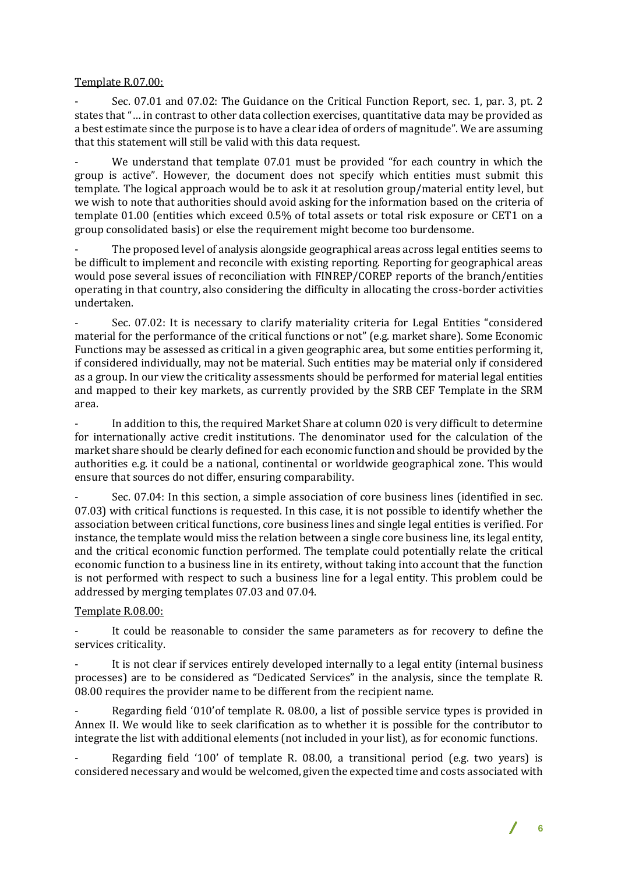## Template R.07.00:

- Sec. 07.01 and 07.02: The Guidance on the Critical Function Report, sec. 1, par. 3, pt. 2 states that "… in contrast to other data collection exercises, quantitative data may be provided as a best estimate since the purpose is to have a clear idea of orders of magnitude". We are assuming that this statement will still be valid with this data request.

We understand that template 07.01 must be provided "for each country in which the group is active". However, the document does not specify which entities must submit this template. The logical approach would be to ask it at resolution group/material entity level, but we wish to note that authorities should avoid asking for the information based on the criteria of template 01.00 (entities which exceed 0.5% of total assets or total risk exposure or CET1 on a group consolidated basis) or else the requirement might become too burdensome.

- The proposed level of analysis alongside geographical areas across legal entities seems to be difficult to implement and reconcile with existing reporting. Reporting for geographical areas would pose several issues of reconciliation with FINREP/COREP reports of the branch/entities operating in that country, also considering the difficulty in allocating the cross-border activities undertaken.

- Sec. 07.02: It is necessary to clarify materiality criteria for Legal Entities "considered material for the performance of the critical functions or not" (e.g. market share). Some Economic Functions may be assessed as critical in a given geographic area, but some entities performing it, if considered individually, may not be material. Such entities may be material only if considered as a group. In our view the criticality assessments should be performed for material legal entities and mapped to their key markets, as currently provided by the SRB CEF Template in the SRM area.

In addition to this, the required Market Share at column 020 is very difficult to determine for internationally active credit institutions. The denominator used for the calculation of the market share should be clearly defined for each economic function and should be provided by the authorities e.g. it could be a national, continental or worldwide geographical zone. This would ensure that sources do not differ, ensuring comparability.

Sec. 07.04: In this section, a simple association of core business lines (identified in sec. 07.03) with critical functions is requested. In this case, it is not possible to identify whether the association between critical functions, core business lines and single legal entities is verified. For instance, the template would miss the relation between a single core business line, its legal entity, and the critical economic function performed. The template could potentially relate the critical economic function to a business line in its entirety, without taking into account that the function is not performed with respect to such a business line for a legal entity. This problem could be addressed by merging templates 07.03 and 07.04.

### Template R.08.00:

It could be reasonable to consider the same parameters as for recovery to define the services criticality.

It is not clear if services entirely developed internally to a legal entity (internal business processes) are to be considered as "Dedicated Services" in the analysis, since the template R. 08.00 requires the provider name to be different from the recipient name.

Regarding field '010' of template R. 08.00, a list of possible service types is provided in Annex II. We would like to seek clarification as to whether it is possible for the contributor to integrate the list with additional elements (not included in your list), as for economic functions.

Regarding field '100' of template R. 08.00, a transitional period (e.g. two years) is considered necessary and would be welcomed, given the expected time and costs associated with

**6**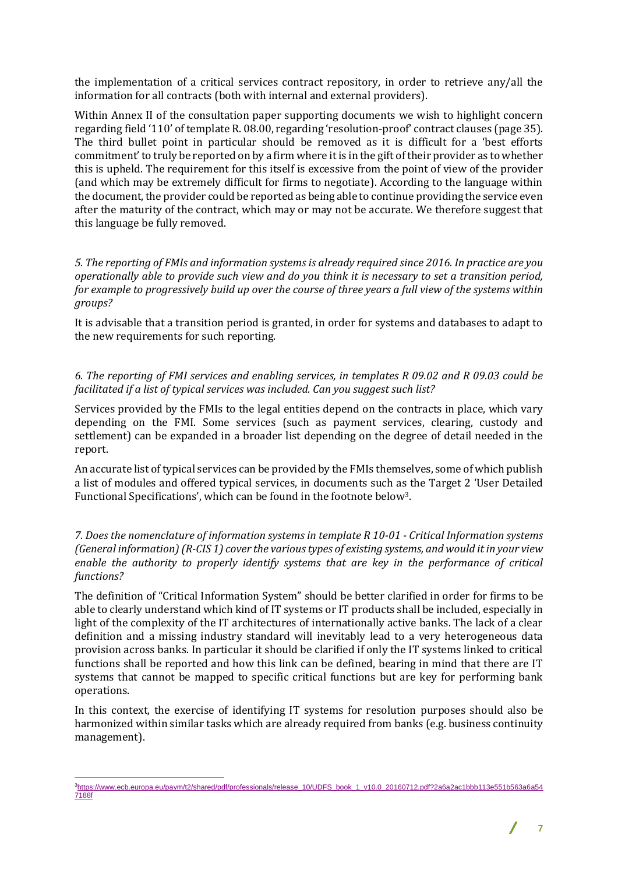the implementation of a critical services contract repository, in order to retrieve any/all the information for all contracts (both with internal and external providers).

Within Annex II of the consultation paper supporting documents we wish to highlight concern regarding field '110' of template R. 08.00, regarding 'resolution-proof' contract clauses (page 35). The third bullet point in particular should be removed as it is difficult for a 'best efforts commitment' to truly be reported on by a firm where it is in the gift of their provider as to whether this is upheld. The requirement for this itself is excessive from the point of view of the provider (and which may be extremely difficult for firms to negotiate). According to the language within the document, the provider could be reported as being able to continue providing the service even after the maturity of the contract, which may or may not be accurate. We therefore suggest that this language be fully removed.

*5. The reporting of FMIs and information systems is already required since 2016. In practice are you operationally able to provide such view and do you think it is necessary to set a transition period, for example to progressively build up over the course of three years a full view of the systems within groups?*

It is advisable that a transition period is granted, in order for systems and databases to adapt to the new requirements for such reporting.

### *6. The reporting of FMI services and enabling services, in templates R 09.02 and R 09.03 could be facilitated if a list of typical services was included. Can you suggest such list?*

Services provided by the FMIs to the legal entities depend on the contracts in place, which vary depending on the FMI. Some services (such as payment services, clearing, custody and settlement) can be expanded in a broader list depending on the degree of detail needed in the report.

An accurate list of typical services can be provided by the FMIs themselves, some of which publish a list of modules and offered typical services, in documents such as the Target 2 'User Detailed Functional Specifications', which can be found in the footnote below3.

*7. Does the nomenclature of information systems in template R 10-01 - Critical Information systems (General information) (R-CIS 1) cover the various types of existing systems, and would it in your view enable the authority to properly identify systems that are key in the performance of critical functions?*

The definition of "Critical Information System" should be better clarified in order for firms to be able to clearly understand which kind of IT systems or IT products shall be included, especially in light of the complexity of the IT architectures of internationally active banks. The lack of a clear definition and a missing industry standard will inevitably lead to a very heterogeneous data provision across banks. In particular it should be clarified if only the IT systems linked to critical functions shall be reported and how this link can be defined, bearing in mind that there are IT systems that cannot be mapped to specific critical functions but are key for performing bank operations.

In this context, the exercise of identifying IT systems for resolution purposes should also be harmonized within similar tasks which are already required from banks (e.g. business continuity management).

 $\overline{a}$ 3[https://www.ecb.europa.eu/paym/t2/shared/pdf/professionals/release\\_10/UDFS\\_book\\_1\\_v10.0\\_20160712.pdf?2a6a2ac1bbb113e551b563a6a54](https://www.ecb.europa.eu/paym/t2/shared/pdf/professionals/release_10/UDFS_book_1_v10.0_20160712.pdf?2a6a2ac1bbb113e551b563a6a547188f) [7188f](https://www.ecb.europa.eu/paym/t2/shared/pdf/professionals/release_10/UDFS_book_1_v10.0_20160712.pdf?2a6a2ac1bbb113e551b563a6a547188f)